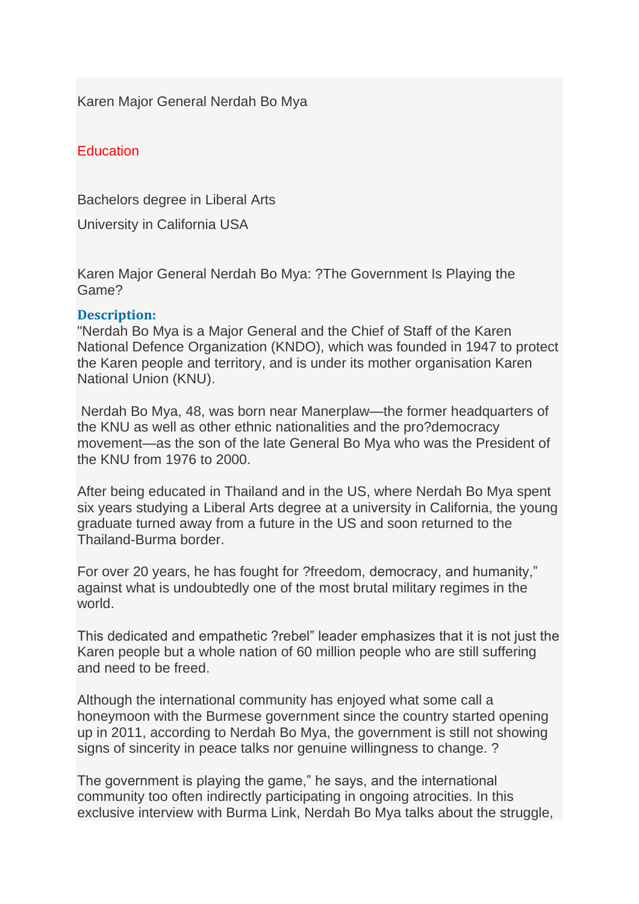Karen Major General Nerdah Bo Mya

### **Education**

Bachelors degree in Liberal Arts

University in California USA

Karen Major General Nerdah Bo Mya: ?The Government Is Playing the Game?

### **Description:**

"Nerdah Bo Mya is a Major General and the Chief of Staff of the Karen National Defence Organization (KNDO), which was founded in 1947 to protect the Karen people and territory, and is under its mother organisation Karen National Union (KNU).

Nerdah Bo Mya, 48, was born near Manerplaw—the former headquarters of the KNU as well as other ethnic nationalities and the pro?democracy movement—as the son of the late General Bo Mya who was the President of the KNU from 1976 to 2000.

After being educated in Thailand and in the US, where Nerdah Bo Mya spent six years studying a Liberal Arts degree at a university in California, the young graduate turned away from a future in the US and soon returned to the Thailand-Burma border.

For over 20 years, he has fought for ?freedom, democracy, and humanity," against what is undoubtedly one of the most brutal military regimes in the world.

This dedicated and empathetic ?rebel" leader emphasizes that it is not just the Karen people but a whole nation of 60 million people who are still suffering and need to be freed.

Although the international community has enjoyed what some call a honeymoon with the Burmese government since the country started opening up in 2011, according to Nerdah Bo Mya, the government is still not showing signs of sincerity in peace talks nor genuine willingness to change. ?

The government is playing the game," he says, and the international community too often indirectly participating in ongoing atrocities. In this exclusive interview with Burma Link, Nerdah Bo Mya talks about the struggle,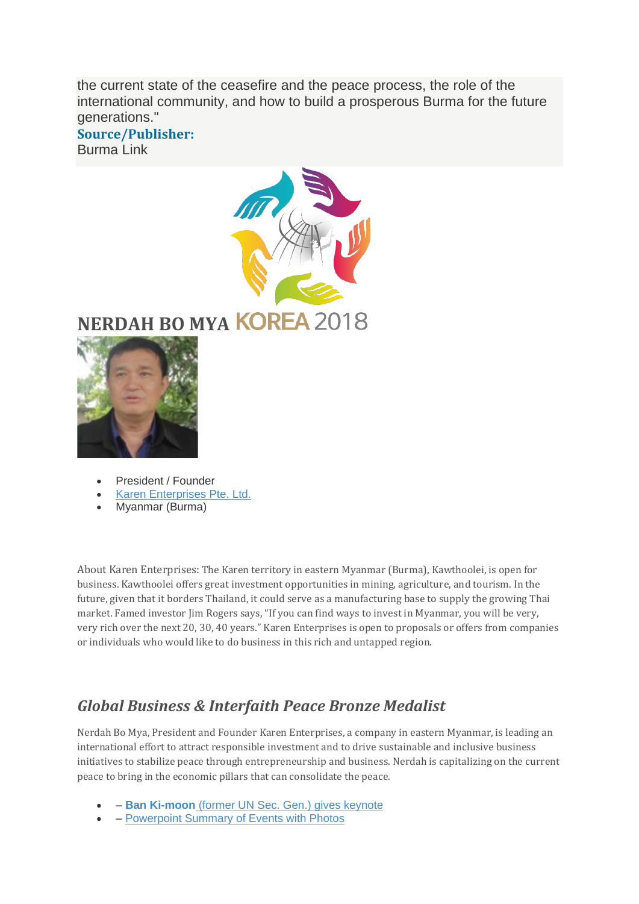the current state of the ceasefire and the peace process, the role of the international community, and how to build a prosperous Burma for the future generations."

#### **Source/Publisher:** Burma Link



# **NERDAH BO MY[A](https://religiousfreedomandbusiness.org/awards2018)**



- President / Founder
- [Karen Enterprises Pte. Ltd.](http://www.karen-biz.com/)
- Myanmar (Burma)

About Karen Enterprises: The Karen territory in eastern Myanmar (Burma), Kawthoolei, is open for business. Kawthoolei offers great investment opportunities in mining, agriculture, and tourism. In the future, given that it borders Thailand, it could serve as a manufacturing base to supply the growing Thai market. Famed investor Jim Rogers says, "If you can find ways to invest in Myanmar, you will be very, very rich over the next 20, 30, 40 years." Karen Enterprises is open to proposals or offers from companies or individuals who would like to do business in this rich and untapped region.

## *Global Business & Interfaith Peace Bronze Medalist*

Nerdah Bo Mya, President and Founder Karen Enterprises, a company in eastern Myanmar, is leading an international effort to attract responsible investment and to drive sustainable and inclusive business initiatives to stabilize peace through entrepreneurship and business. Nerdah is capitalizing on the current peace to bring in the economic pillars that can consolidate the peace.

- – **Ban Ki-moon** [\(former UN Sec. Gen.\) gives keynote](https://vimeo.com/262868661)
- – [Powerpoint Summary of Events with Photos](https://www.slideshare.net/BrianJGrim/global-business-peace-awards-and-symposium-2018-seoul-korea-highlights)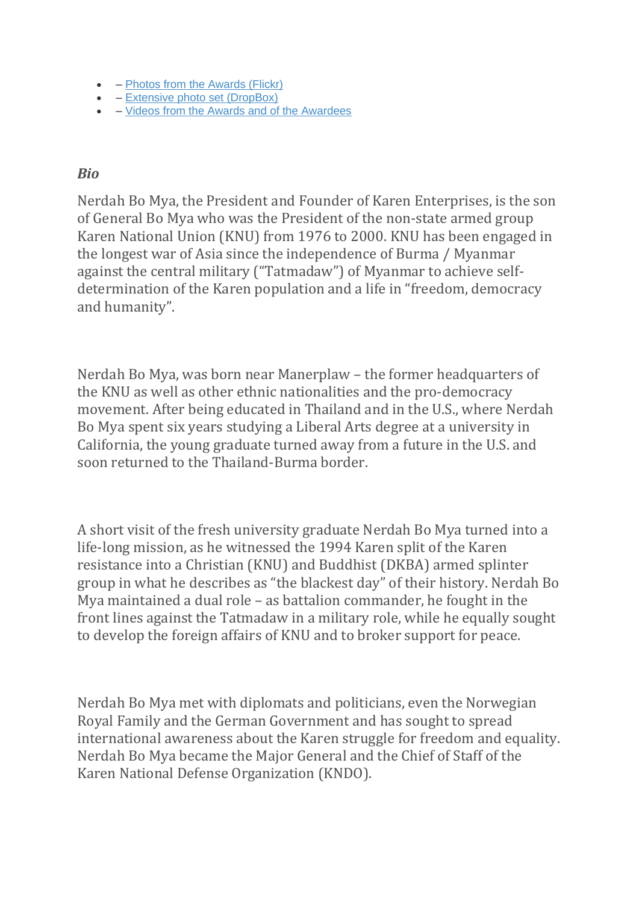- – [Photos from the Awards \(Flickr\)](https://www.flickr.com/photos/139687627@N03/albums/72157693049673821)
- – [Extensive photo set \(DropBox\)](https://www.dropbox.com/sh/3dge5anc9k0qnq1/AAC4ktaz13qlNb-FXC_znPIwa?dl=0)
- – [Videos from the Awards and of the Awardees](https://vimeo.com/album/5019692)

### *Bio*

Nerdah Bo Mya, the President and Founder of Karen Enterprises, is the son of General Bo Mya who was the President of the non-state armed group Karen National Union (KNU) from 1976 to 2000. KNU has been engaged in the longest war of Asia since the independence of Burma / Myanmar against the central military ("Tatmadaw") of Myanmar to achieve selfdetermination of the Karen population and a life in "freedom, democracy and humanity".

Nerdah Bo Mya, was born near Manerplaw – the former headquarters of the KNU as well as other ethnic nationalities and the pro-democracy movement. After being educated in Thailand and in the U.S., where Nerdah Bo Mya spent six years studying a Liberal Arts degree at a university in California, the young graduate turned away from a future in the U.S. and soon returned to the Thailand-Burma border.

A short visit of the fresh university graduate Nerdah Bo Mya turned into a life-long mission, as he witnessed the 1994 Karen split of the Karen resistance into a Christian (KNU) and Buddhist (DKBA) armed splinter group in what he describes as "the blackest day" of their history. Nerdah Bo Mya maintained a dual role – as battalion commander, he fought in the front lines against the Tatmadaw in a military role, while he equally sought to develop the foreign affairs of KNU and to broker support for peace.

Nerdah Bo Mya met with diplomats and politicians, even the Norwegian Royal Family and the German Government and has sought to spread international awareness about the Karen struggle for freedom and equality. Nerdah Bo Mya became the Major General and the Chief of Staff of the Karen National Defense Organization (KNDO).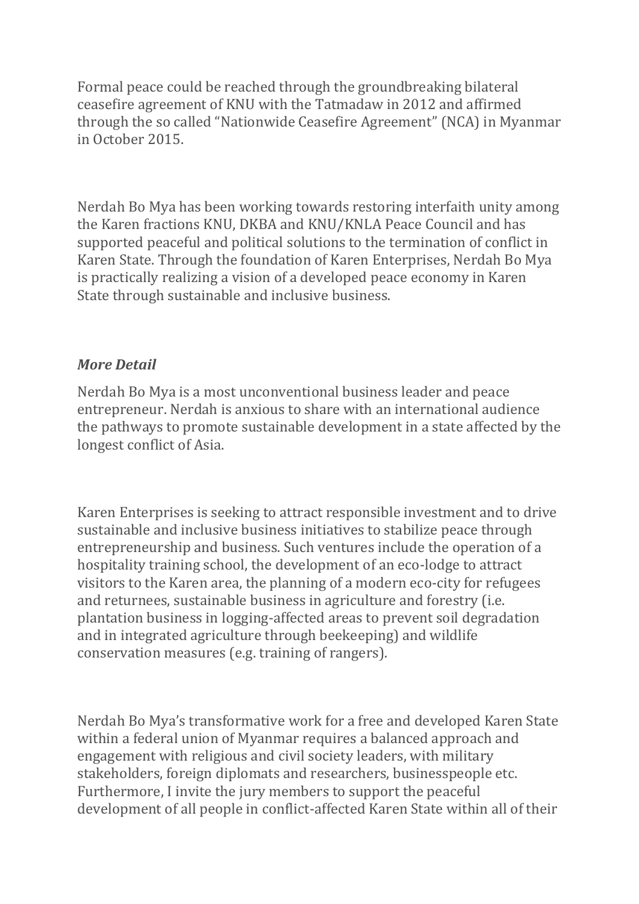Formal peace could be reached through the groundbreaking bilateral ceasefire agreement of KNU with the Tatmadaw in 2012 and affirmed through the so called "Nationwide Ceasefire Agreement" (NCA) in Myanmar in October 2015.

Nerdah Bo Mya has been working towards restoring interfaith unity among the Karen fractions KNU, DKBA and KNU/KNLA Peace Council and has supported peaceful and political solutions to the termination of conflict in Karen State. Through the foundation of Karen Enterprises, Nerdah Bo Mya is practically realizing a vision of a developed peace economy in Karen State through sustainable and inclusive business.

### *More Detail*

Nerdah Bo Mya is a most unconventional business leader and peace entrepreneur. Nerdah is anxious to share with an international audience the pathways to promote sustainable development in a state affected by the longest conflict of Asia.

Karen Enterprises is seeking to attract responsible investment and to drive sustainable and inclusive business initiatives to stabilize peace through entrepreneurship and business. Such ventures include the operation of a hospitality training school, the development of an eco-lodge to attract visitors to the Karen area, the planning of a modern eco-city for refugees and returnees, sustainable business in agriculture and forestry (i.e. plantation business in logging-affected areas to prevent soil degradation and in integrated agriculture through beekeeping) and wildlife conservation measures (e.g. training of rangers).

Nerdah Bo Mya's transformative work for a free and developed Karen State within a federal union of Myanmar requires a balanced approach and engagement with religious and civil society leaders, with military stakeholders, foreign diplomats and researchers, businesspeople etc. Furthermore, I invite the jury members to support the peaceful development of all people in conflict-affected Karen State within all of their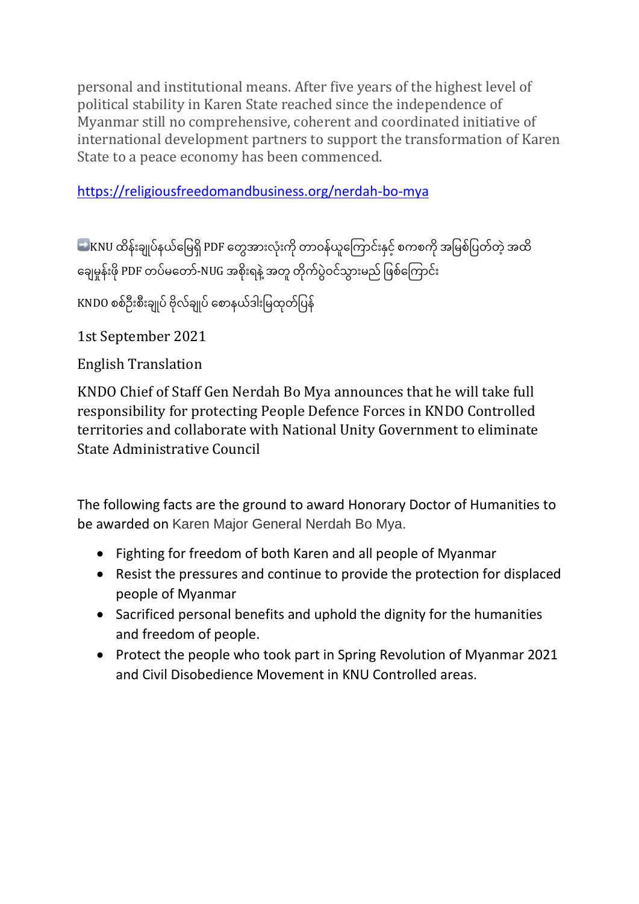personal and institutional means. After five years of the highest level of political stability in Karen State reached since the independence of Myanmar still no comprehensive, coherent and coordinated initiative of international development partners to support the transformation of Karen State to a peace economy has been commenced.

<https://religiousfreedomandbusiness.org/nerdah-bo-mya>

KNU ထိန်းချုပ်နယ်မြေရှိ PDF တွေအားလုံးကို တာဝန်ယူကြောင်းနှင့် စကစကို အမြစ်ပြတ်တဲ့ အထိ ချေမှုန်းဖို PDF တပ်မတော်-NUG အစိုးရနဲ့ အတူ တိုက်ပွဲဝင်သွားမည် ဖြစ်ကြောင်း

KNDO စစ်ဦးစီးချုပ် ဗိုလ်ချုပ် စောနယ်ဒါးမြထုတ်ပြန်

1st September 2021

English Translation

KNDO Chief of Staff Gen Nerdah Bo Mya announces that he will take full responsibility for protecting People Defence Forces in KNDO Controlled territories and collaborate with National Unity Government to eliminate State Administrative Council

The following facts are the ground to award Honorary Doctor of Humanities to be awarded on Karen Major General Nerdah Bo Mya.

- Fighting for freedom of both Karen and all people of Myanmar
- Resist the pressures and continue to provide the protection for displaced people of Myanmar
- Sacrificed personal benefits and uphold the dignity for the humanities and freedom of people.
- Protect the people who took part in Spring Revolution of Myanmar 2021 and Civil Disobedience Movement in KNU Controlled areas.